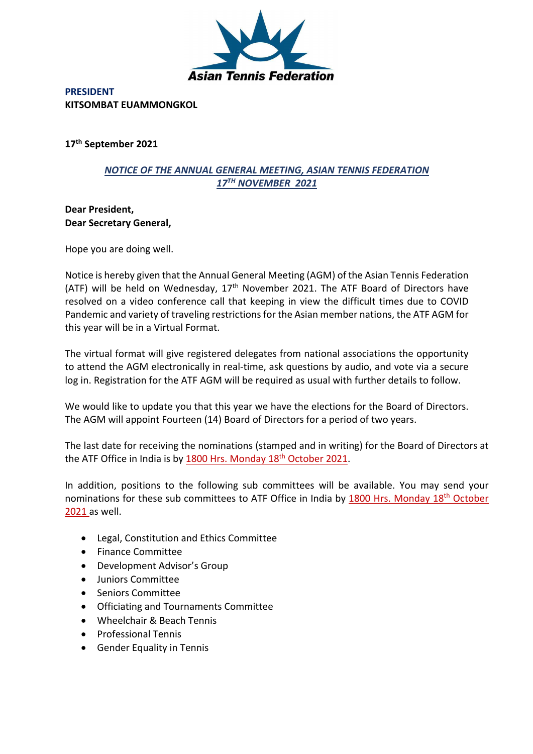

**PRESIDENT KITSOMBAT EUAMMONGKOL** 

**17th September 2021**

## *NOTICE OF THE ANNUAL GENERAL MEETING, ASIAN TENNIS FEDERATION 17TH NOVEMBER 2021*

**Dear President, Dear Secretary General,**

Hope you are doing well.

Notice is hereby given that the Annual General Meeting (AGM) of the Asian Tennis Federation (ATF) will be held on Wednesday,  $17<sup>th</sup>$  November 2021. The ATF Board of Directors have resolved on a video conference call that keeping in view the difficult times due to COVID Pandemic and variety of traveling restrictions for the Asian member nations, the ATF AGM for this year will be in a Virtual Format.

The virtual format will give registered delegates from national associations the opportunity to attend the AGM electronically in real-time, ask questions by audio, and vote via a secure log in. Registration for the ATF AGM will be required as usual with further details to follow.

We would like to update you that this year we have the elections for the Board of Directors. The AGM will appoint Fourteen (14) Board of Directors for a period of two years.

The last date for receiving the nominations (stamped and in writing) for the Board of Directors at the ATF Office in India is by 1800 Hrs. Monday 18<sup>th</sup> October 2021.

In addition, positions to the following sub committees will be available. You may send your nominations for these sub committees to ATF Office in India by 1800 Hrs. Monday 18<sup>th</sup> October 2021 as well.

- Legal, Constitution and Ethics Committee
- Finance Committee
- Development Advisor's Group
- Juniors Committee
- Seniors Committee
- Officiating and Tournaments Committee
- Wheelchair & Beach Tennis
- Professional Tennis
- Gender Equality in Tennis